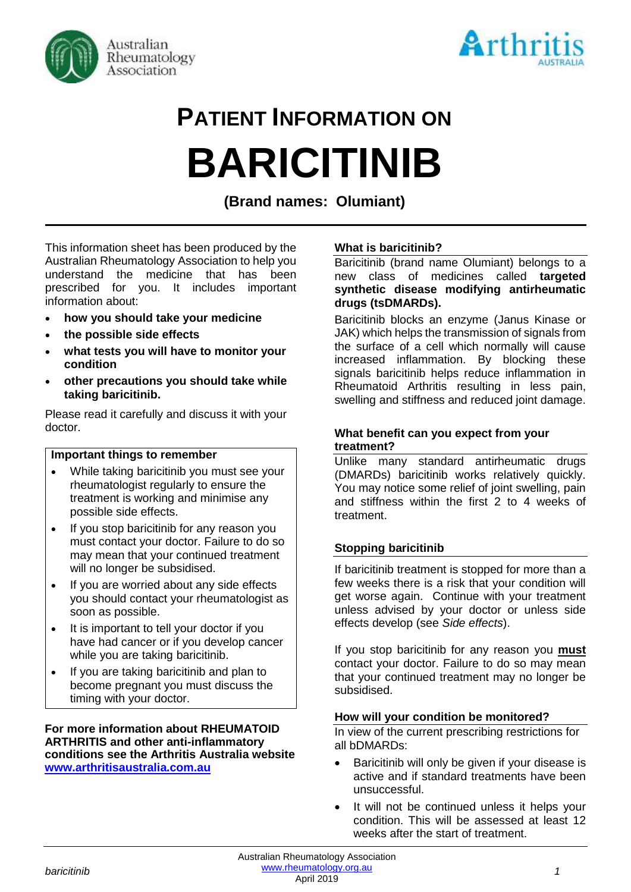



# **PATIENT INFORMATION ON BARICITINIB**

**(Brand names: Olumiant)**

This information sheet has been produced by the Australian Rheumatology Association to help you understand the medicine that has been prescribed for you. It includes important information about:

- **how you should take your medicine**
- **the possible side effects**
- **what tests you will have to monitor your condition**
- **other precautions you should take while taking baricitinib.**

Please read it carefully and discuss it with your doctor.

#### **Important things to remember**

- While taking baricitinib you must see your rheumatologist regularly to ensure the treatment is working and minimise any possible side effects.
- If you stop baricitinib for any reason you must contact your doctor. Failure to do so may mean that your continued treatment will no longer be subsidised.
- If you are worried about any side effects you should contact your rheumatologist as soon as possible.
- It is important to tell your doctor if you have had cancer or if you develop cancer while you are taking baricitinib.
- If you are taking baricitinib and plan to become pregnant you must discuss the timing with your doctor.

**For more information about RHEUMATOID ARTHRITIS and other anti-inflammatory conditions see the Arthritis Australia website [www.arthritisaustralia.com.au](http://www.arthritisaustralia.com.au/)**

#### **What is baricitinib?**

Baricitinib (brand name Olumiant) belongs to a new class of medicines called **targeted synthetic disease modifying antirheumatic drugs (tsDMARDs).** 

Baricitinib blocks an enzyme (Janus Kinase or JAK) which helps the transmission of signals from the surface of a cell which normally will cause increased inflammation. By blocking these signals baricitinib helps reduce inflammation in Rheumatoid Arthritis resulting in less pain, swelling and stiffness and reduced joint damage.

#### **What benefit can you expect from your treatment?**

Unlike many standard antirheumatic drugs (DMARDs) baricitinib works relatively quickly. You may notice some relief of joint swelling, pain and stiffness within the first 2 to 4 weeks of treatment.

#### **Stopping baricitinib**

If baricitinib treatment is stopped for more than a few weeks there is a risk that your condition will get worse again. Continue with your treatment unless advised by your doctor or unless side effects develop (see *Side effects*).

If you stop baricitinib for any reason you **must** contact your doctor. Failure to do so may mean that your continued treatment may no longer be subsidised.

#### **How will your condition be monitored?**

In view of the current prescribing restrictions for all bDMARDs:

- Baricitinib will only be given if your disease is active and if standard treatments have been unsuccessful.
- It will not be continued unless it helps your condition. This will be assessed at least 12 weeks after the start of treatment.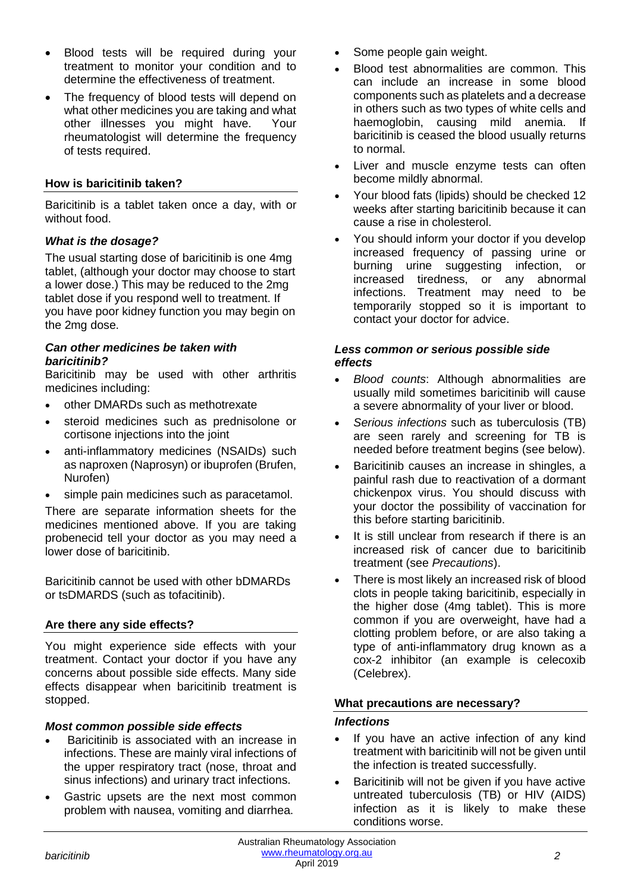- Blood tests will be required during your treatment to monitor your condition and to determine the effectiveness of treatment.
- The frequency of blood tests will depend on what other medicines you are taking and what other illnesses you might have. Your rheumatologist will determine the frequency of tests required.

### **How is baricitinib taken?**

Baricitinib is a tablet taken once a day, with or without food.

#### *What is the dosage?*

The usual starting dose of baricitinib is one 4mg tablet, (although your doctor may choose to start a lower dose.) This may be reduced to the 2mg tablet dose if you respond well to treatment. If you have poor kidney function you may begin on the 2mg dose.

#### *Can other medicines be taken with baricitinib?*

Baricitinib may be used with other arthritis medicines including:

- other DMARDs such as methotrexate
- steroid medicines such as prednisolone or cortisone injections into the joint
- anti-inflammatory medicines (NSAIDs) such as naproxen (Naprosyn) or ibuprofen (Brufen, Nurofen)
- simple pain medicines such as paracetamol.

There are separate information sheets for the medicines mentioned above. If you are taking probenecid tell your doctor as you may need a lower dose of baricitinib.

Baricitinib cannot be used with other bDMARDs or tsDMARDS (such as tofacitinib).

# **Are there any side effects?**

You might experience side effects with your treatment. Contact your doctor if you have any concerns about possible side effects. Many side effects disappear when baricitinib treatment is stopped.

#### *Most common possible side effects*

- Baricitinib is associated with an increase in infections. These are mainly viral infections of the upper respiratory tract (nose, throat and sinus infections) and urinary tract infections.
- Gastric upsets are the next most common problem with nausea, vomiting and diarrhea.
- Some people gain weight.
- Blood test abnormalities are common. This can include an increase in some blood components such as platelets and a decrease in others such as two types of white cells and haemoglobin, causing mild anemia. If baricitinib is ceased the blood usually returns to normal.
- Liver and muscle enzyme tests can often become mildly abnormal.
- Your blood fats (lipids) should be checked 12 weeks after starting baricitinib because it can cause a rise in cholesterol.
- You should inform your doctor if you develop increased frequency of passing urine or burning urine suggesting infection, or increased tiredness, or any abnormal infections. Treatment may need to be temporarily stopped so it is important to contact your doctor for advice.

#### *Less common or serious possible side effects*

- *Blood counts*: Although abnormalities are usually mild sometimes baricitinib will cause a severe abnormality of your liver or blood.
- *Serious infections* such as tuberculosis (TB) are seen rarely and screening for TB is needed before treatment begins (see below).
- Baricitinib causes an increase in shingles, a painful rash due to reactivation of a dormant chickenpox virus. You should discuss with your doctor the possibility of vaccination for this before starting baricitinib.
- It is still unclear from research if there is an increased risk of cancer due to baricitinib treatment (see *Precautions*).
- There is most likely an increased risk of blood clots in people taking baricitinib, especially in the higher dose (4mg tablet). This is more common if you are overweight, have had a clotting problem before, or are also taking a type of anti-inflammatory drug known as a cox-2 inhibitor (an example is celecoxib (Celebrex).

# **What precautions are necessary?**

#### *Infections*

- If you have an active infection of any kind treatment with baricitinib will not be given until the infection is treated successfully.
- Baricitinib will not be given if you have active untreated tuberculosis (TB) or HIV (AIDS) infection as it is likely to make these conditions worse.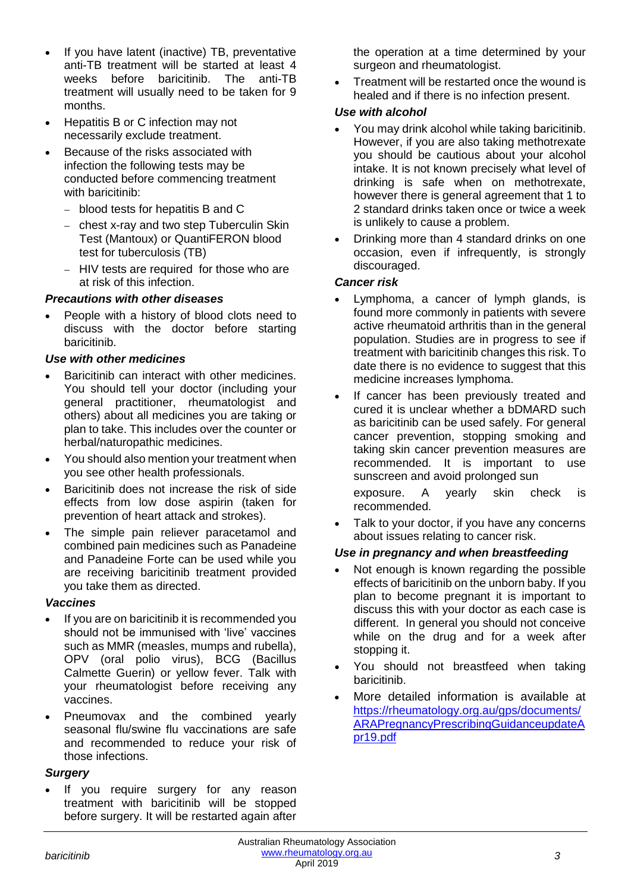- If you have latent (inactive) TB, preventative anti-TB treatment will be started at least 4 weeks before baricitinib. The anti-TB treatment will usually need to be taken for 9 months.
- Hepatitis B or C infection may not necessarily exclude treatment.
- Because of the risks associated with infection the following tests may be conducted before commencing treatment with baricitinib:
	- − blood tests for hepatitis B and C
	- − chest x-ray and two step Tuberculin Skin Test (Mantoux) or QuantiFERON blood test for tuberculosis (TB)
	- − HIV tests are required for those who are at risk of this infection.

# *Precautions with other diseases*

• People with a history of blood clots need to discuss with the doctor before starting baricitinib.

# *Use with other medicines*

- Baricitinib can interact with other medicines. You should tell your doctor (including your general practitioner, rheumatologist and others) about all medicines you are taking or plan to take. This includes over the counter or herbal/naturopathic medicines.
- You should also mention your treatment when you see other health professionals.
- Baricitinib does not increase the risk of side effects from low dose aspirin (taken for prevention of heart attack and strokes).
- The simple pain reliever paracetamol and combined pain medicines such as Panadeine and Panadeine Forte can be used while you are receiving baricitinib treatment provided you take them as directed.

# *Vaccines*

- If you are on baricitinib it is recommended you should not be immunised with 'live' vaccines such as MMR (measles, mumps and rubella), OPV (oral polio virus), BCG (Bacillus Calmette Guerin) or yellow fever. Talk with your rheumatologist before receiving any vaccines.
- Pneumovax and the combined yearly seasonal flu/swine flu vaccinations are safe and recommended to reduce your risk of those infections.

# *Surgery*

If you require surgery for any reason treatment with baricitinib will be stopped before surgery. It will be restarted again after

the operation at a time determined by your surgeon and rheumatologist.

• Treatment will be restarted once the wound is healed and if there is no infection present.

# *Use with alcohol*

- You may drink alcohol while taking baricitinib. However, if you are also taking methotrexate you should be cautious about your alcohol intake. It is not known precisely what level of drinking is safe when on methotrexate, however there is general agreement that 1 to 2 standard drinks taken once or twice a week is unlikely to cause a problem.
- Drinking more than 4 standard drinks on one occasion, even if infrequently, is strongly discouraged.

# *Cancer risk*

- Lymphoma, a cancer of lymph glands, is found more commonly in patients with severe active rheumatoid arthritis than in the general population. Studies are in progress to see if treatment with baricitinib changes this risk. To date there is no evidence to suggest that this medicine increases lymphoma.
- If cancer has been previously treated and cured it is unclear whether a bDMARD such as baricitinib can be used safely. For general cancer prevention, stopping smoking and taking skin cancer prevention measures are recommended. It is important to use sunscreen and avoid prolonged sun

exposure. A yearly skin check is recommended.

Talk to your doctor, if you have any concerns about issues relating to cancer risk.

# *Use in pregnancy and when breastfeeding*

- Not enough is known regarding the possible effects of baricitinib on the unborn baby. If you plan to become pregnant it is important to discuss this with your doctor as each case is different. In general you should not conceive while on the drug and for a week after stopping it.
- You should not breastfeed when taking baricitinib.
- More detailed information is available at [https://rheumatology.org.au/gps/documents/](https://rheumatology.org.au/gps/documents/ARAPregnancyPrescribingGuidanceupdateApr19.pdf) [ARAPregnancyPrescribingGuidanceupdateA](https://rheumatology.org.au/gps/documents/ARAPregnancyPrescribingGuidanceupdateApr19.pdf) [pr19.pdf](https://rheumatology.org.au/gps/documents/ARAPregnancyPrescribingGuidanceupdateApr19.pdf)